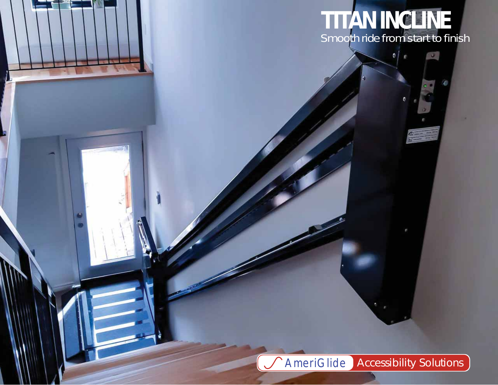

 $\bullet$ ×  $\mathbb{C}_0$ 

AmeriGlide *Accessibility Solutions*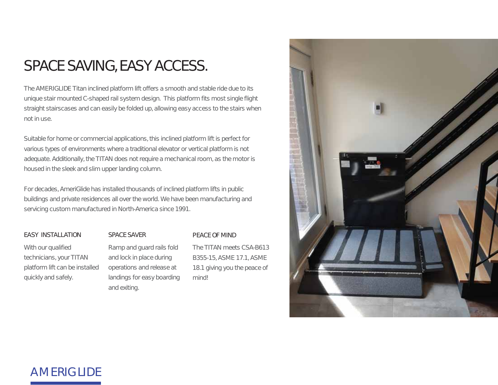## SPACE SAVING, EASY ACCESS.

The AMERIGLIDE Titan inclined platform lift offers a smooth and stable ride due to its unique stair mounted C-shaped rail system design. This platform fits most single flight straight stairscases and can easily be folded up, allowing easy access to the stairs when not in use.

Suitable for home or commercial applications, this inclined platform lift is perfect for various types of environments where a traditional elevator or vertical platform is not adequate. Additionally, the TITAN does not require a mechanical room, as the motor is housed in the sleek and slim upper landing column.

For decades, AmeriGlide has installed thousands of inclined platform lifts in public buildings and private residences all over the world. We have been manufacturing and servicing custom manufactured in North-America since 1991.

#### EASY INSTALLATION

With our qualified technicians, your TITAN platform lift can be installed quickly and safely.

### SPACE SAVER

Ramp and guard rails fold and lock in place during operations and release at landings for easy boarding and exiting.

#### PEACE OF MIND

The TITAN meets CSA-B613 B355-15, ASME 17.1, ASME 18.1 giving you the peace of mind!



### AMERIGLIDE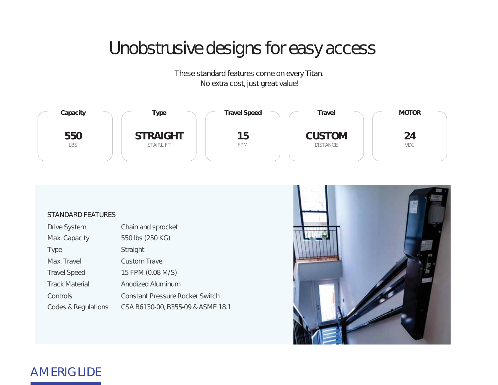# Unobstrusive designs for easy access

These standard features come on every Titan. No extra cost, just great value!



### STANDARD FEATURES

| <b>Drive System</b>   | Chain and sprocket                     |
|-----------------------|----------------------------------------|
| Max. Capacity         | 550 lbs (250 KG)                       |
| <b>Type</b>           | Straight                               |
| Max. Travel           | <b>Custom Travel</b>                   |
| <b>Travel Speed</b>   | 15 FPM (0.08 M/S)                      |
| <b>Track Material</b> | Anodized Aluminum                      |
| Controls              | <b>Constant Pressure Rocker Switch</b> |
| Codes & Regulations   | CSA B6130-00, B355-09 & ASME 18.1      |



### AMERIGLIDE